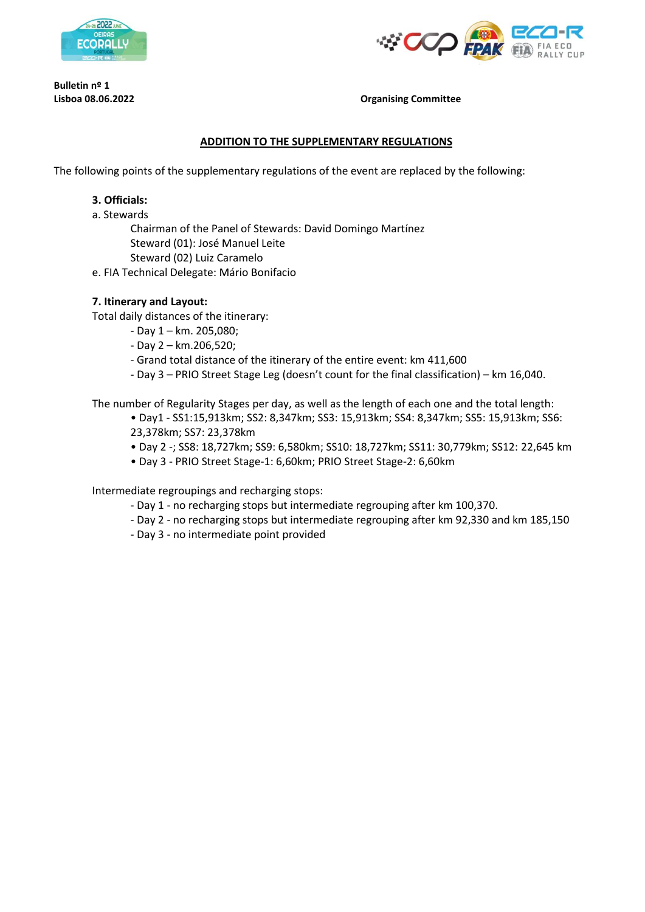

**Bulletin nº 1**



**Lisboa 08.06.2022 Organising Committee**

#### **ADDITION TO THE SUPPLEMENTARY REGULATIONS**

The following points of the supplementary regulations of the event are replaced by the following:

#### **3. Officials:**

a. Stewards

Chairman of the Panel of Stewards: David Domingo Martínez Steward (01): José Manuel Leite Steward (02) Luiz Caramelo

e. FIA Technical Delegate: Mário Bonifacio

## **7. Itinerary and Layout:**

Total daily distances of the itinerary:

- Day 1 km. 205,080;
- Day 2 km.206,520;
- Grand total distance of the itinerary of the entire event: km 411,600
- Day 3 PRIO Street Stage Leg (doesn't count for the final classification) km 16,040.

The number of Regularity Stages per day, as well as the length of each one and the total length:

• Day1 - SS1:15,913km; SS2: 8,347km; SS3: 15,913km; SS4: 8,347km; SS5: 15,913km; SS6: 23,378km; SS7: 23,378km

- Day 2 -; SS8: 18,727km; SS9: 6,580km; SS10: 18,727km; SS11: 30,779km; SS12: 22,645 km
- Day 3 PRIO Street Stage-1: 6,60km; PRIO Street Stage-2: 6,60km

Intermediate regroupings and recharging stops:

- Day 1 no recharging stops but intermediate regrouping after km 100,370.
- Day 2 no recharging stops but intermediate regrouping after km 92,330 and km 185,150
- Day 3 no intermediate point provided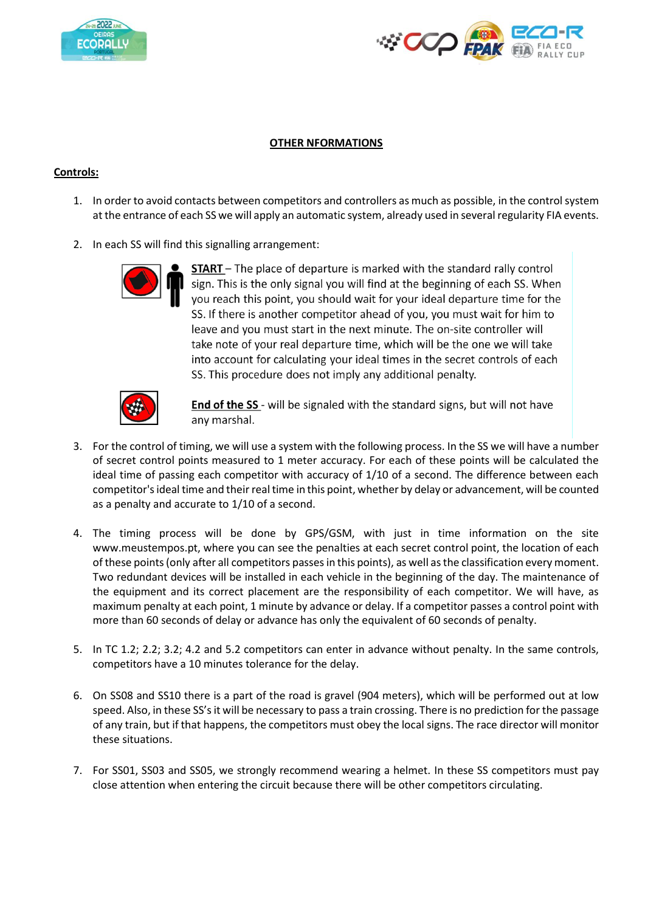



## **OTHER NFORMATIONS**

# **Controls:**

- 1. In order to avoid contacts between competitors and controllers as much as possible, in the control system at the entrance of each SS we will apply an automatic system, already used in several regularity FIA events.
- 2. In each SS will find this signalling arrangement:



**START** - The place of departure is marked with the standard rally control sign. This is the only signal you will find at the beginning of each SS. When you reach this point, you should wait for your ideal departure time for the SS. If there is another competitor ahead of you, you must wait for him to leave and you must start in the next minute. The on-site controller will take note of your real departure time, which will be the one we will take into account for calculating your ideal times in the secret controls of each SS. This procedure does not imply any additional penalty.



**End of the SS** - will be signaled with the standard signs, but will not have any marshal.

- 3. For the control of timing, we will use a system with the following process. In the SS we will have a number of secret control points measured to 1 meter accuracy. For each of these points will be calculated the ideal time of passing each competitor with accuracy of 1/10 of a second. The difference between each competitor's ideal time and their real time in this point, whether by delay or advancement, will be counted as a penalty and accurate to 1/10 of a second.
- 4. The timing process will be done by GPS/GSM, with just in time information on the site www.meustempos.pt, where you can see the penalties at each secret control point, the location of each of these points (only after all competitors passes in this points), as well as the classification every moment. Two redundant devices will be installed in each vehicle in the beginning of the day. The maintenance of the equipment and its correct placement are the responsibility of each competitor. We will have, as maximum penalty at each point, 1 minute by advance or delay. If a competitor passes a control point with more than 60 seconds of delay or advance has only the equivalent of 60 seconds of penalty.
- 5. In TC 1.2; 2.2; 3.2; 4.2 and 5.2 competitors can enter in advance without penalty. In the same controls, competitors have a 10 minutes tolerance for the delay.
- 6. On SS08 and SS10 there is a part of the road is gravel (904 meters), which will be performed out at low speed. Also, in these SS's it will be necessary to pass a train crossing. There is no prediction for the passage of any train, but if that happens, the competitors must obey the local signs. The race director will monitor these situations.
- 7. For SS01, SS03 and SS05, we strongly recommend wearing a helmet. In these SS competitors must pay close attention when entering the circuit because there will be other competitors circulating.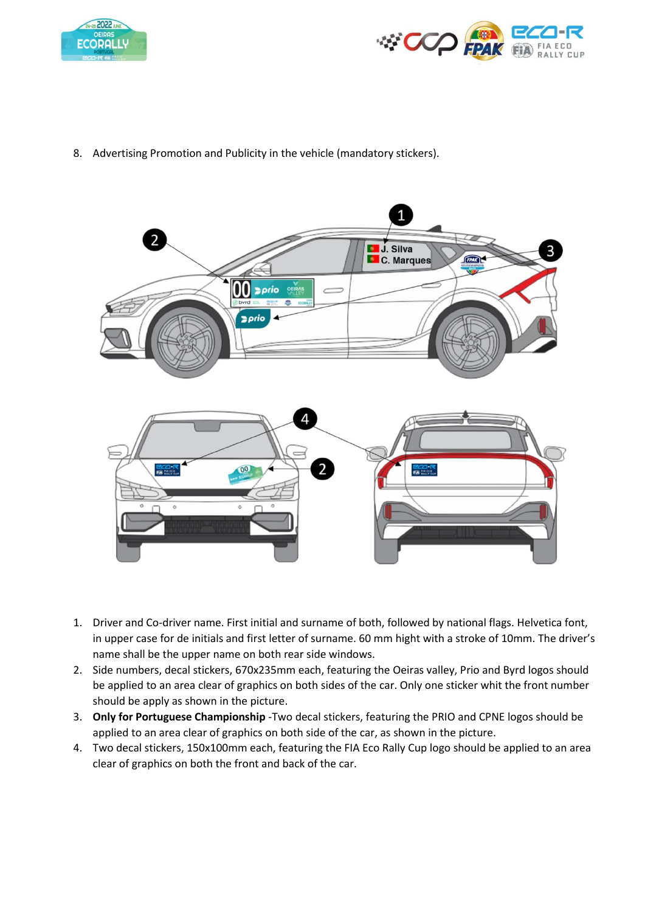



8. Advertising Promotion and Publicity in the vehicle (mandatory stickers).



- 1. Driver and Co-driver name. First initial and surname of both, followed by national flags. Helvetica font, in upper case for de initials and first letter of surname. 60 mm hight with a stroke of 10mm. The driver's name shall be the upper name on both rear side windows.
- 2. Side numbers, decal stickers, 670x235mm each, featuring the Oeiras valley, Prio and Byrd logos should be applied to an area clear of graphics on both sides of the car. Only one sticker whit the front number should be apply as shown in the picture.
- 3. **Only for Portuguese Championship** -Two decal stickers, featuring the PRIO and CPNE logos should be applied to an area clear of graphics on both side of the car, as shown in the picture.
- 4. Two decal stickers, 150x100mm each, featuring the FIA Eco Rally Cup logo should be applied to an area clear of graphics on both the front and back of the car.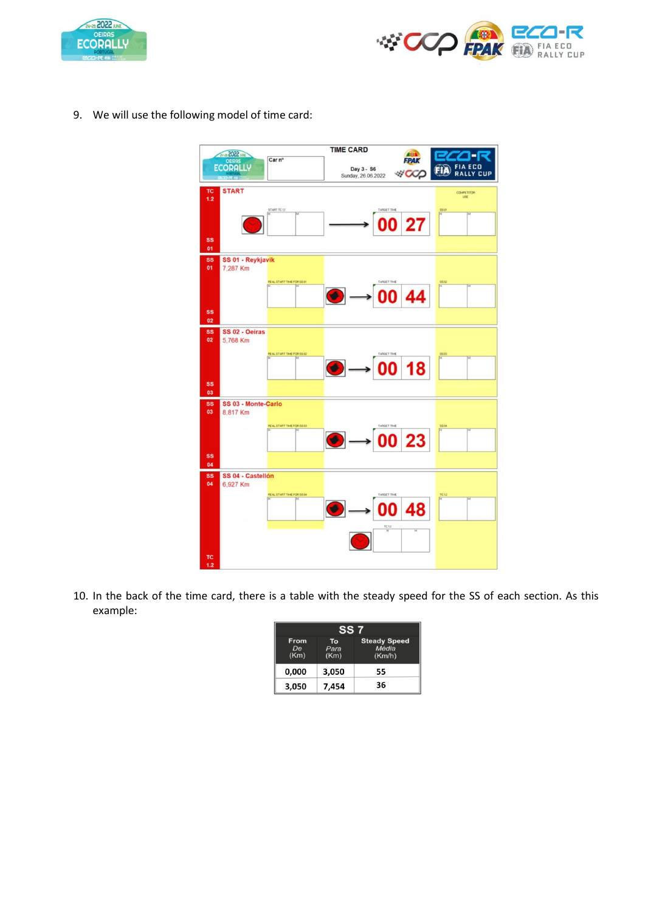



9. We will use the following model of time card:



10. In the back of the time card, there is a table with the steady speed for the SS of each section. As this example:

| SS 7                      |                    |                                        |
|---------------------------|--------------------|----------------------------------------|
| <b>From</b><br>De<br>(Km) | To<br>Para<br>(Km) | <b>Steady Speed</b><br>Média<br>(Km/h) |
| 0.000                     | 3,050              | 55                                     |
| 3,050                     | 7,454              | 36                                     |